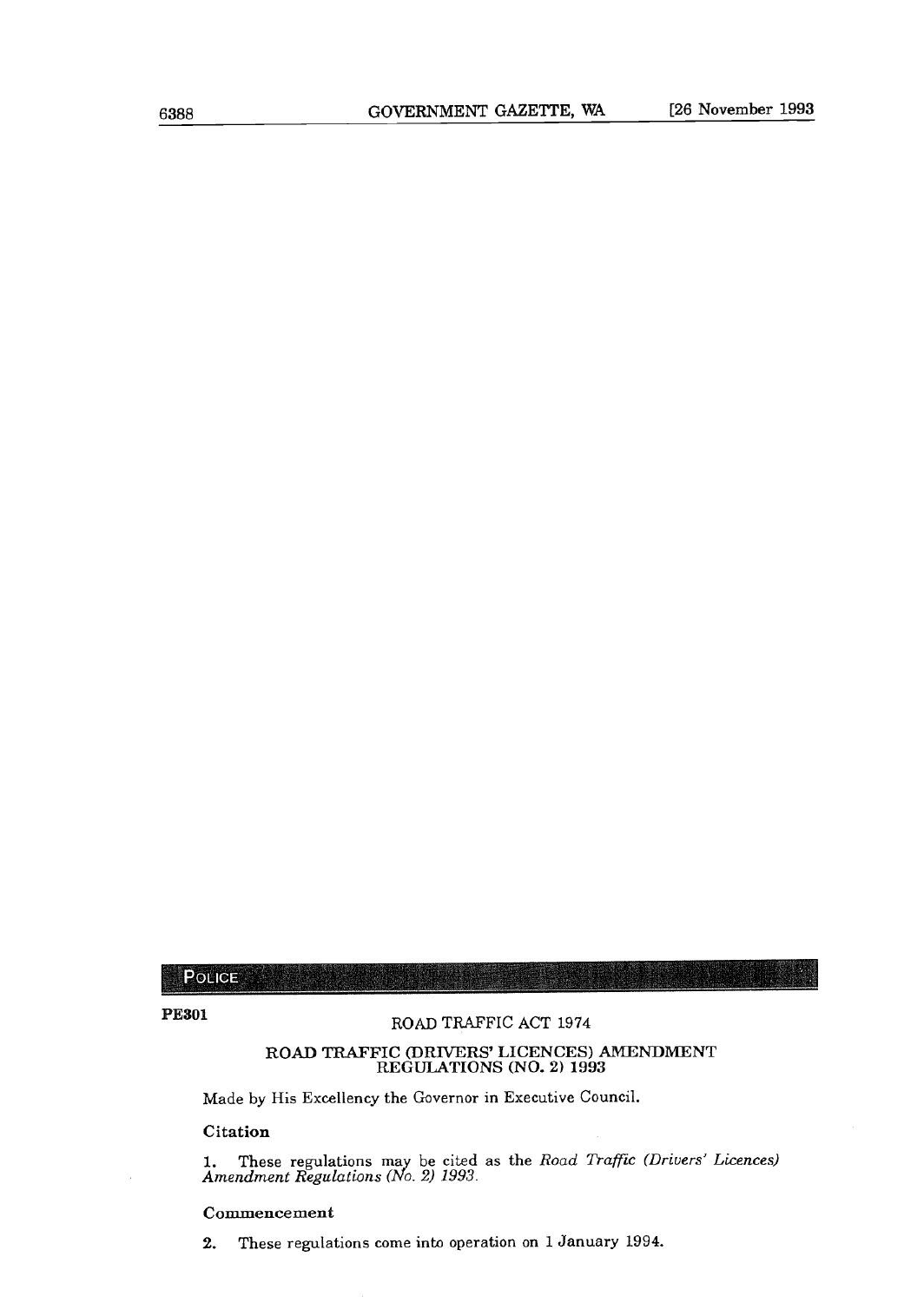**POLICE** 

# **PE301** ROAD TRAFFIC ACT 1974

#### **ROAD TRAFFIC (DRIVERS' LICENCES) AMENDMENT REGULATIONS (NO. 2) 1993**

Made by His Excellency the Governor in Executive Council.

**Citation** 

1. These regulations may be cited as the *Road Traffic (Drivers' Licences) Amendment Regulations (No. 2) 1993.* 

#### **Commencement**

2. These regulations come into operation on 1 January 1994.